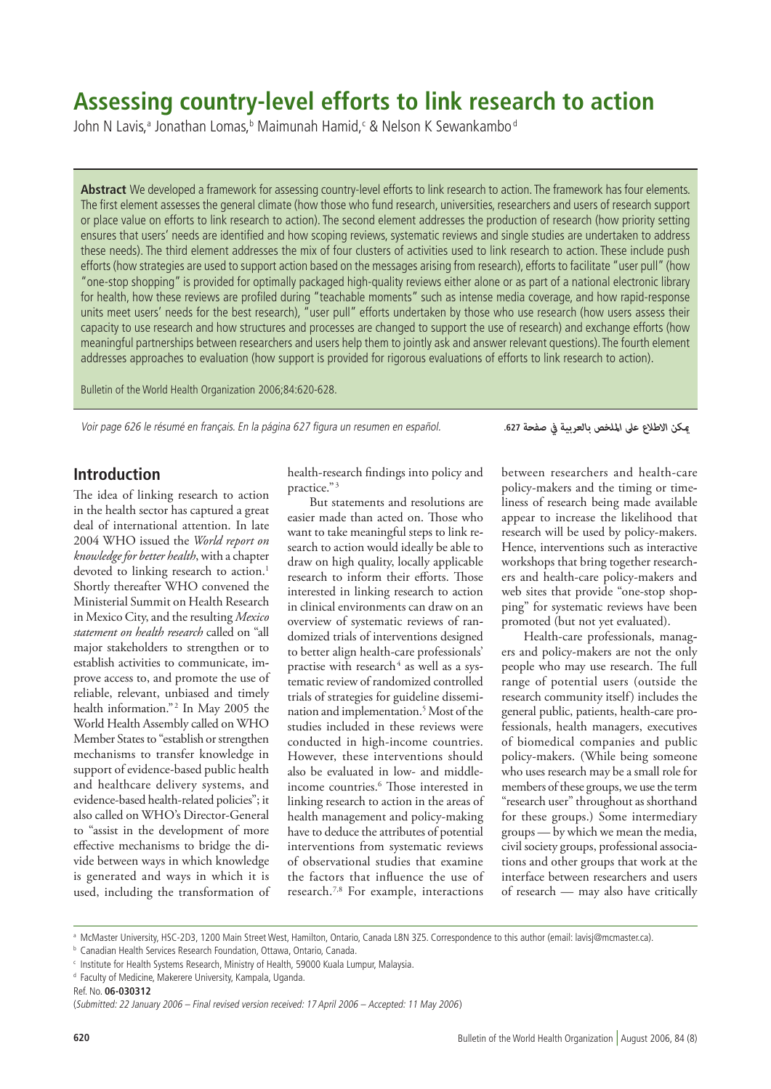# **Assessing country-level efforts to link research to action**

John N Lavis,ª Jonathan Lomas,ʰ Maimunah Hamid,<code>c&Nelson K</code> Sewankambo $^\circ$ 

Abstract We developed a framework for assessing country-level efforts to link research to action. The framework has four elements. The first element assesses the general climate (how those who fund research, universities, researchers and users of research support or place value on efforts to link research to action). The second element addresses the production of research (how priority setting ensures that users' needs are identified and how scoping reviews, systematic reviews and single studies are undertaken to address these needs). The third element addresses the mix of four clusters of activities used to link research to action. These include push efforts (how strategies are used to support action based on the messages arising from research), efforts to facilitate "user pull" (how "one-stop shopping" is provided for optimally packaged high-quality reviews either alone or as part of a national electronic library for health, how these reviews are profiled during "teachable moments" such as intense media coverage, and how rapid-response units meet users' needs for the best research), "user pull" efforts undertaken by those who use research (how users assess their capacity to use research and how structures and processes are changed to support the use of research) and exchange efforts (how meaningful partnerships between researchers and users help them to jointly ask and answer relevant questions). The fourth element addresses approaches to evaluation (how support is provided for rigorous evaluations of efforts to link research to action).

Bulletin of the World Health Organization 2006;84:620-628.

Voir page 626 le résumé en français. En la página 627 figura un resumen en español.

*ميكن االطالع عىل امللخص بالعربية يف صفحة* **.627**

## **Introduction**

The idea of linking research to action in the health sector has captured a great deal of international attention. In late 2004 WHO issued the *World report on knowledge for better health*, with a chapter devoted to linking research to action.<sup>1</sup> Shortly thereafter WHO convened the Ministerial Summit on Health Research in Mexico City, and the resulting *Mexico statement on health research* called on "all major stakeholders to strengthen or to establish activities to communicate, improve access to, and promote the use of reliable, relevant, unbiased and timely health information."<sup>2</sup> In May 2005 the World Health Assembly called on WHO Member States to "establish or strengthen mechanisms to transfer knowledge in support of evidence-based public health and healthcare delivery systems, and evidence-based health-related policies"; it also called on WHO's Director-General to "assist in the development of more effective mechanisms to bridge the divide between ways in which knowledge is generated and ways in which it is used, including the transformation of

health-research findings into policy and practice."<sup>3</sup>

But statements and resolutions are easier made than acted on. Those who want to take meaningful steps to link research to action would ideally be able to draw on high quality, locally applicable research to inform their efforts. Those interested in linking research to action in clinical environments can draw on an overview of systematic reviews of randomized trials of interventions designed to better align health-care professionals' practise with research<sup>4</sup> as well as a systematic review of randomized controlled trials of strategies for guideline dissemination and implementation.5 Most of the studies included in these reviews were conducted in high-income countries. However, these interventions should also be evaluated in low- and middleincome countries.6 Those interested in linking research to action in the areas of health management and policy-making have to deduce the attributes of potential interventions from systematic reviews of observational studies that examine the factors that influence the use of research.7,8 For example, interactions between researchers and health-care policy-makers and the timing or timeliness of research being made available appear to increase the likelihood that research will be used by policy-makers. Hence, interventions such as interactive workshops that bring together researchers and health-care policy-makers and web sites that provide "one-stop shopping" for systematic reviews have been promoted (but not yet evaluated).

Health-care professionals, managers and policy-makers are not the only people who may use research. The full range of potential users (outside the research community itself) includes the general public, patients, health-care professionals, health managers, executives of biomedical companies and public policy-makers. (While being someone who uses research may be a small role for members of these groups, we use the term "research user" throughout as shorthand for these groups.) Some intermediary groups — by which we mean the media, civil society groups, professional associations and other groups that work at the interface between researchers and users of research — may also have critically

a McMaster University, HSC-2D3, 1200 Main Street West, Hamilton, Ontario, Canada L8N 3Z5. Correspondence to this author (email: lavisj@mcmaster.ca).

**b** Canadian Health Services Research Foundation, Ottawa, Ontario, Canada.

<sup>c</sup> Institute for Health Systems Research, Ministry of Health, 59000 Kuala Lumpur, Malaysia.

<sup>&</sup>lt;sup>d</sup> Faculty of Medicine, Makerere University, Kampala, Uganda.

Ref. No. **06-030312**

<sup>(</sup>Submitted: 22 January 2006 – Final revised version received: 17 April 2006 – Accepted: 11 May 2006)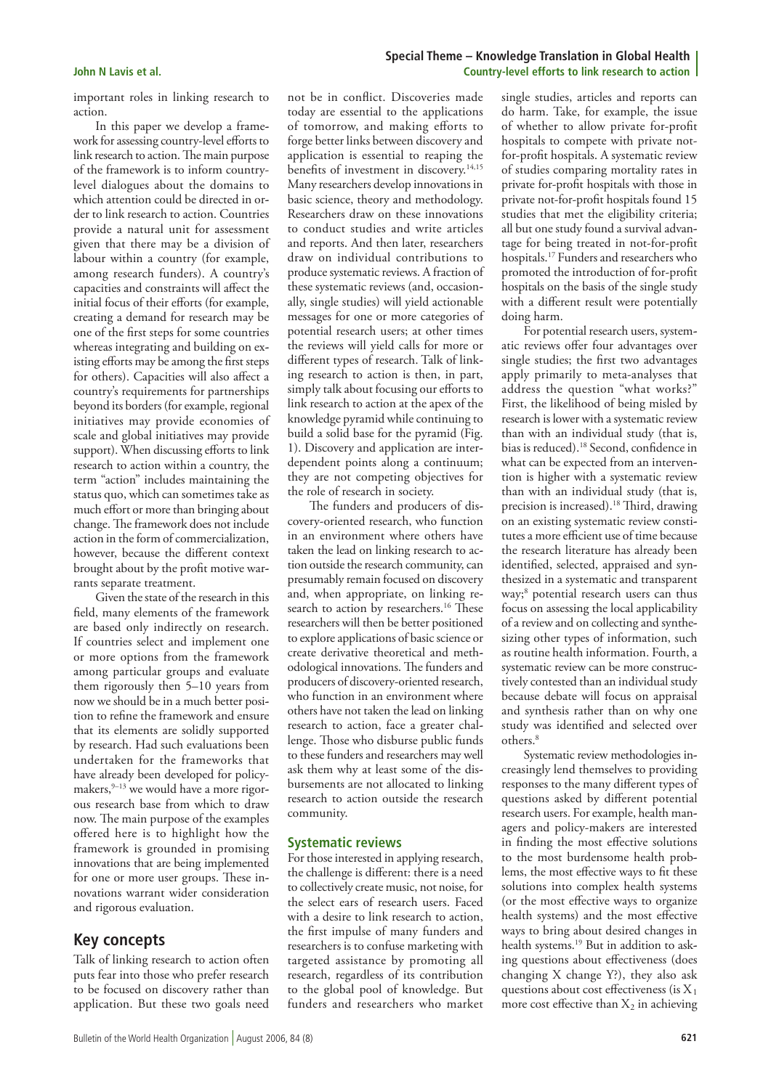important roles in linking research to action.

In this paper we develop a framework for assessing country-level efforts to link research to action. The main purpose of the framework is to inform countrylevel dialogues about the domains to which attention could be directed in order to link research to action. Countries provide a natural unit for assessment given that there may be a division of labour within a country (for example, among research funders). A country's capacities and constraints will affect the initial focus of their efforts (for example, creating a demand for research may be one of the first steps for some countries whereas integrating and building on existing efforts may be among the first steps for others). Capacities will also affect a country's requirements for partnerships beyond its borders (for example, regional initiatives may provide economies of scale and global initiatives may provide support). When discussing efforts to link research to action within a country, the term "action" includes maintaining the status quo, which can sometimes take as much effort or more than bringing about change. The framework does not include action in the form of commercialization, however, because the different context brought about by the profit motive warrants separate treatment.

Given the state of the research in this field, many elements of the framework are based only indirectly on research. If countries select and implement one or more options from the framework among particular groups and evaluate them rigorously then 5–10 years from now we should be in a much better position to refine the framework and ensure that its elements are solidly supported by research. Had such evaluations been undertaken for the frameworks that have already been developed for policymakers, $9-13$  we would have a more rigorous research base from which to draw now. The main purpose of the examples offered here is to highlight how the framework is grounded in promising innovations that are being implemented for one or more user groups. These innovations warrant wider consideration and rigorous evaluation.

## **Key concepts**

Talk of linking research to action often puts fear into those who prefer research to be focused on discovery rather than application. But these two goals need

not be in conflict. Discoveries made today are essential to the applications of tomorrow, and making efforts to forge better links between discovery and application is essential to reaping the benefits of investment in discovery.<sup>14,15</sup> Many researchers develop innovations in basic science, theory and methodology. Researchers draw on these innovations to conduct studies and write articles and reports. And then later, researchers draw on individual contributions to produce systematic reviews. A fraction of these systematic reviews (and, occasionally, single studies) will yield actionable messages for one or more categories of potential research users; at other times the reviews will yield calls for more or different types of research. Talk of linking research to action is then, in part, simply talk about focusing our efforts to link research to action at the apex of the knowledge pyramid while continuing to build a solid base for the pyramid (Fig. 1). Discovery and application are interdependent points along a continuum; they are not competing objectives for the role of research in society.

The funders and producers of discovery-oriented research, who function in an environment where others have taken the lead on linking research to action outside the research community, can presumably remain focused on discovery and, when appropriate, on linking research to action by researchers.<sup>16</sup> These researchers will then be better positioned to explore applications of basic science or create derivative theoretical and methodological innovations. The funders and producers of discovery-oriented research, who function in an environment where others have not taken the lead on linking research to action, face a greater challenge. Those who disburse public funds to these funders and researchers may well ask them why at least some of the disbursements are not allocated to linking research to action outside the research community.

## **Systematic reviews**

For those interested in applying research, the challenge is different: there is a need to collectively create music, not noise, for the select ears of research users. Faced with a desire to link research to action, the first impulse of many funders and researchers is to confuse marketing with targeted assistance by promoting all research, regardless of its contribution to the global pool of knowledge. But funders and researchers who market

### **Special Theme – Knowledge Translation in Global Health John N Lavis et al. Country-level efforts to link research to action**

single studies, articles and reports can do harm. Take, for example, the issue of whether to allow private for-profit hospitals to compete with private notfor-profit hospitals. A systematic review of studies comparing mortality rates in private for-profit hospitals with those in private not-for-profit hospitals found 15 studies that met the eligibility criteria; all but one study found a survival advantage for being treated in not-for-profit hospitals.17 Funders and researchers who promoted the introduction of for-profit hospitals on the basis of the single study with a different result were potentially doing harm.

For potential research users, systematic reviews offer four advantages over single studies; the first two advantages apply primarily to meta-analyses that address the question "what works?" First, the likelihood of being misled by research is lower with a systematic review than with an individual study (that is, bias is reduced).18 Second, confidence in what can be expected from an intervention is higher with a systematic review than with an individual study (that is, precision is increased).<sup>18</sup> Third, drawing on an existing systematic review constitutes a more efficient use of time because the research literature has already been identified, selected, appraised and synthesized in a systematic and transparent way;8 potential research users can thus focus on assessing the local applicability of a review and on collecting and synthes sizing other types of information, such as routine health information. Fourth, a systematic review can be more constructively contested than an individual study because debate will focus on appraisal and synthesis rather than on why one study was identified and selected over others.<sup>8</sup>

Systematic review methodologies increasingly lend themselves to providing responses to the many different types of questions asked by different potential research users. For example, health managers and policy-makers are interested in finding the most effective solutions to the most burdensome health problems, the most effective ways to fit these solutions into complex health systems (or the most effective ways to organize health systems) and the most effective ways to bring about desired changes in health systems.<sup>19</sup> But in addition to asking questions about effectiveness (does changing X change Y?), they also ask questions about cost effectiveness (is  $X_1$ more cost effective than  $X_2$  in achieving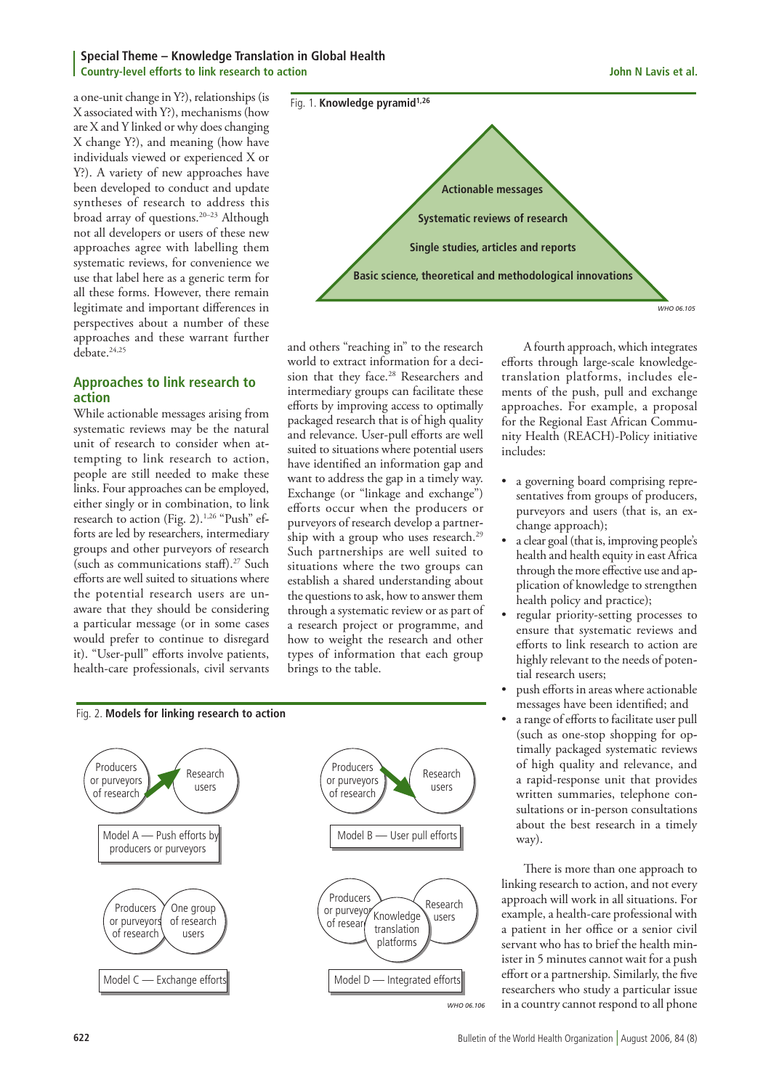### **Special Theme – Knowledge Translation in Global Health Country-level efforts to link research to action John N Lavis et al.**

a one-unit change in Y?), relationships (is X associated with Y?), mechanisms (how are X and Y linked or why does changing X change Y?), and meaning (how have individuals viewed or experienced X or Y?). A variety of new approaches have been developed to conduct and update syntheses of research to address this broad array of questions.20–23 Although not all developers or users of these new approaches agree with labelling them systematic reviews, for convenience we use that label here as a generic term for all these forms. However, there remain legitimate and important differences in perspectives about a number of these approaches and these warrant further debate.<sup>24,25</sup>

## **Approaches to link research to action**

While actionable messages arising from systematic reviews may be the natural unit of research to consider when attempting to link research to action, people are still needed to make these links. Four approaches can be employed, either singly or in combination, to link research to action (Fig. 2). $1,26$  "Push" efforts are led by researchers, intermediary groups and other purveyors of research (such as communications staff).<sup>27</sup> Such efforts are well suited to situations where the potential research users are unaware that they should be considering a particular message (or in some cases would prefer to continue to disregard it). "User-pull" efforts involve patients, health-care professionals, civil servants



and others "reaching in" to the research world to extract information for a decision that they face.<sup>28</sup> Researchers and intermediary groups can facilitate these efforts by improving access to optimally packaged research that is of high quality and relevance. User-pull efforts are well suited to situations where potential users have identified an information gap and want to address the gap in a timely way. Exchange (or "linkage and exchange") efforts occur when the producers or purveyors of research develop a partnership with a group who uses research.<sup>29</sup> Such partnerships are well suited to situations where the two groups can establish a shared understanding about the questions to ask, how to answer them through a systematic review or as part of a research project or programme, and how to weight the research and other types of information that each group brings to the table.



*WHO 06.106*

A fourth approach, which integrates efforts through large-scale knowledgetranslation platforms, includes elements of the push, pull and exchange approaches. For example, a proposal for the Regional East African Community Health (REACH)-Policy initiative includes:

- a governing board comprising representatives from groups of producers, purveyors and users (that is, an exchange approach);
- a clear goal (that is, improving people's health and health equity in east Africa through the more effective use and application of knowledge to strengthen health policy and practice);
- regular priority-setting processes to ensure that systematic reviews and efforts to link research to action are highly relevant to the needs of potential research users;
- push efforts in areas where actionable messages have been identified; and
- a range of efforts to facilitate user pull (such as one-stop shopping for optimally packaged systematic reviews of high quality and relevance, and a rapid-response unit that provides written summaries, telephone consultations or in-person consultations about the best research in a timely way).

There is more than one approach to linking research to action, and not every approach will work in all situations. For example, a health-care professional with a patient in her office or a senior civil servant who has to brief the health minister in 5 minutes cannot wait for a push effort or a partnership. Similarly, the five researchers who study a particular issue in a country cannot respond to all phone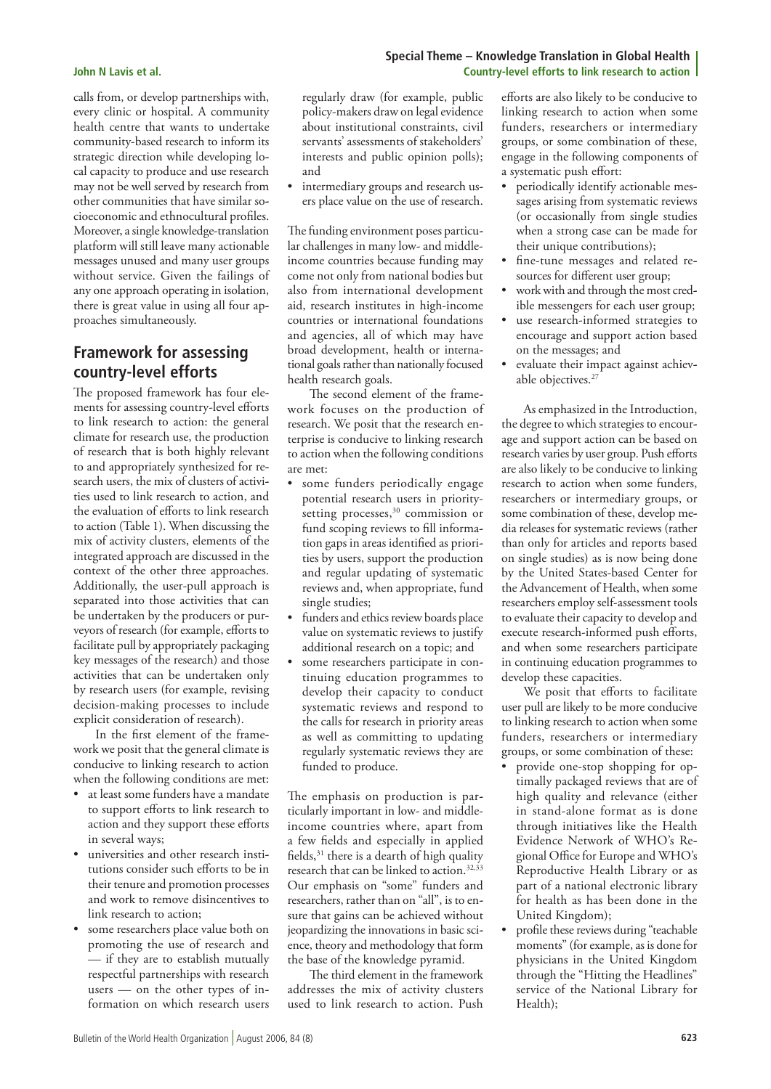calls from, or develop partnerships with, every clinic or hospital. A community health centre that wants to undertake community-based research to inform its strategic direction while developing local capacity to produce and use research may not be well served by research from other communities that have similar socioeconomic and ethnocultural profiles. Moreover, a single knowledge-translation platform will still leave many actionable messages unused and many user groups without service. Given the failings of any one approach operating in isolation, there is great value in using all four approaches simultaneously.

## **Framework for assessing country-level efforts**

The proposed framework has four elements for assessing country-level efforts to link research to action: the general climate for research use, the production of research that is both highly relevant to and appropriately synthesized for research users, the mix of clusters of activities used to link research to action, and the evaluation of efforts to link research to action (Table 1). When discussing the mix of activity clusters, elements of the integrated approach are discussed in the context of the other three approaches. Additionally, the user-pull approach is separated into those activities that can be undertaken by the producers or purveyors of research (for example, efforts to facilitate pull by appropriately packaging key messages of the research) and those activities that can be undertaken only by research users (for example, revising decision-making processes to include explicit consideration of research).

In the first element of the framework we posit that the general climate is conducive to linking research to action when the following conditions are met:

- at least some funders have a mandate to support efforts to link research to action and they support these efforts in several ways;
- universities and other research institutions consider such efforts to be in their tenure and promotion processes and work to remove disincentives to link research to action;
- some researchers place value both on promoting the use of research and — if they are to establish mutually respectful partnerships with research users  $-$  on the other types of information on which research users

regularly draw (for example, public policy-makers draw on legal evidence about institutional constraints, civil servants' assessments of stakeholders' interests and public opinion polls); and

• intermediary groups and research users place value on the use of research.

The funding environment poses particular challenges in many low- and middleincome countries because funding may come not only from national bodies but also from international development aid, research institutes in high-income countries or international foundations and agencies, all of which may have broad development, health or international goals rather than nationally focused health research goals.

The second element of the framework focuses on the production of research. We posit that the research enterprise is conducive to linking research to action when the following conditions are met:

- some funders periodically engage potential research users in prioritysetting processes,<sup>30</sup> commission or fund scoping reviews to fill information gaps in areas identified as priorities by users, support the production and regular updating of systematic reviews and, when appropriate, fund single studies;
- funders and ethics review boards place value on systematic reviews to justify additional research on a topic; and
- some researchers participate in continuing education programmes to develop their capacity to conduct systematic reviews and respond to the calls for research in priority areas as well as committing to updating regularly systematic reviews they are funded to produce.

The emphasis on production is particularly important in low- and middleincome countries where, apart from a few fields and especially in applied fields, $31$  there is a dearth of high quality research that can be linked to action.<sup>32,33</sup> Our emphasis on "some" funders and researchers, rather than on "all", is to ensure that gains can be achieved without jeopardizing the innovations in basic science, theory and methodology that form the base of the knowledge pyramid.

The third element in the framework addresses the mix of activity clusters used to link research to action. Push

efforts are also likely to be conducive to linking research to action when some funders, researchers or intermediary groups, or some combination of these, engage in the following components of a systematic push effort:

- periodically identify actionable messages arising from systematic reviews (or occasionally from single studies when a strong case can be made for their unique contributions);
- fine-tune messages and related resources for different user group;
- work with and through the most credible messengers for each user group;
- use research-informed strategies to encourage and support action based on the messages; and
- evaluate their impact against achievable objectives.<sup>27</sup>

As emphasized in the Introduction, the degree to which strategies to encourage and support action can be based on research varies by user group. Push efforts are also likely to be conducive to linking research to action when some funders, researchers or intermediary groups, or some combination of these, develop media releases for systematic reviews (rather than only for articles and reports based on single studies) as is now being done by the United States-based Center for the Advancement of Health, when some researchers employ self-assessment tools to evaluate their capacity to develop and execute research-informed push efforts, and when some researchers participate in continuing education programmes to develop these capacities.

We posit that efforts to facilitate user pull are likely to be more conducive to linking research to action when some funders, researchers or intermediary groups, or some combination of these:

- provide one-stop shopping for optimally packaged reviews that are of high quality and relevance (either in stand-alone format as is done through initiatives like the Health Evidence Network of WHO's Regional Office for Europe and WHO's Reproductive Health Library or as part of a national electronic library for health as has been done in the United Kingdom);
- profile these reviews during "teachable moments" (for example, as is done for physicians in the United Kingdom through the "Hitting the Headlines" service of the National Library for Health);

### **Special Theme – Knowledge Translation in Global Health John N Lavis et al. Country-level efforts to link research to action**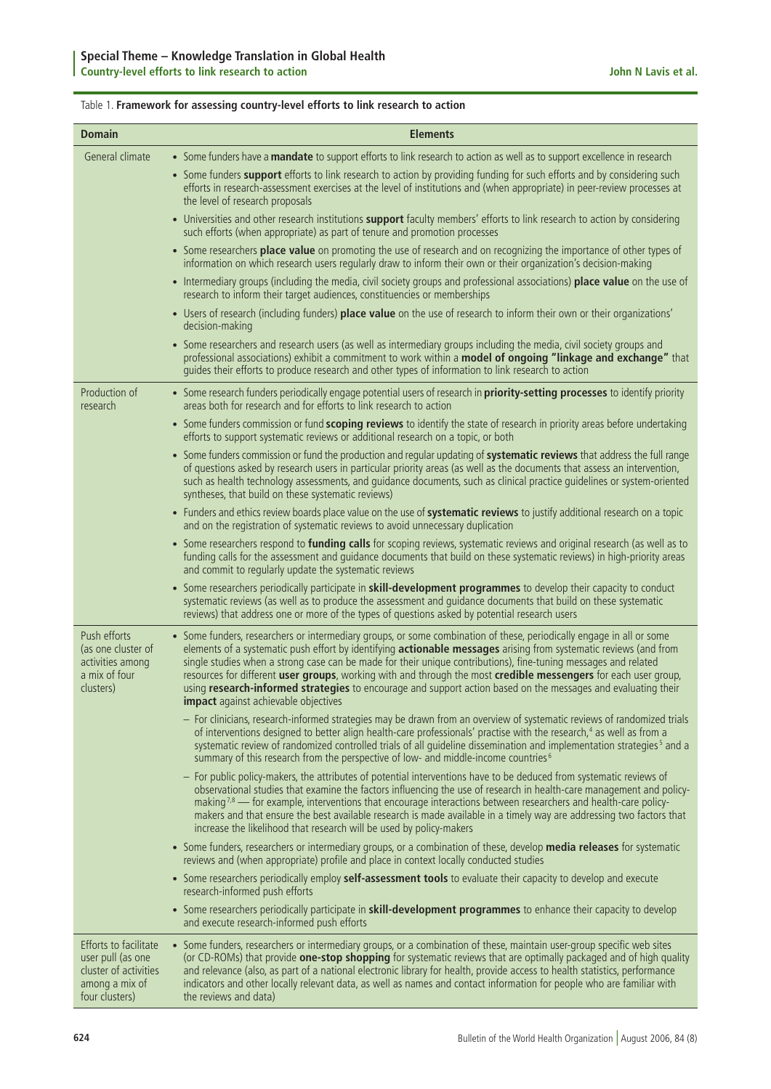## Table 1. **Framework for assessing country-level efforts to link research to action**

| <b>Domain</b>                                                                                           | <b>Elements</b>                                                                                                                                                                                                                                                                                                                                                                                                                                                                                                                                                                                                                                 |
|---------------------------------------------------------------------------------------------------------|-------------------------------------------------------------------------------------------------------------------------------------------------------------------------------------------------------------------------------------------------------------------------------------------------------------------------------------------------------------------------------------------------------------------------------------------------------------------------------------------------------------------------------------------------------------------------------------------------------------------------------------------------|
| General climate                                                                                         | • Some funders have a mandate to support efforts to link research to action as well as to support excellence in research                                                                                                                                                                                                                                                                                                                                                                                                                                                                                                                        |
|                                                                                                         | • Some funders support efforts to link research to action by providing funding for such efforts and by considering such<br>efforts in research-assessment exercises at the level of institutions and (when appropriate) in peer-review processes at<br>the level of research proposals                                                                                                                                                                                                                                                                                                                                                          |
|                                                                                                         | • Universities and other research institutions support faculty members' efforts to link research to action by considering<br>such efforts (when appropriate) as part of tenure and promotion processes                                                                                                                                                                                                                                                                                                                                                                                                                                          |
|                                                                                                         | • Some researchers place value on promoting the use of research and on recognizing the importance of other types of<br>information on which research users regularly draw to inform their own or their organization's decision-making                                                                                                                                                                                                                                                                                                                                                                                                           |
|                                                                                                         | • Intermediary groups (including the media, civil society groups and professional associations) place value on the use of<br>research to inform their target audiences, constituencies or memberships                                                                                                                                                                                                                                                                                                                                                                                                                                           |
|                                                                                                         | • Users of research (including funders) place value on the use of research to inform their own or their organizations'<br>decision-making                                                                                                                                                                                                                                                                                                                                                                                                                                                                                                       |
|                                                                                                         | • Some researchers and research users (as well as intermediary groups including the media, civil society groups and<br>professional associations) exhibit a commitment to work within a model of ongoing "linkage and exchange" that<br>quides their efforts to produce research and other types of information to link research to action                                                                                                                                                                                                                                                                                                      |
| Production of<br>research                                                                               | • Some research funders periodically engage potential users of research in priority-setting processes to identify priority<br>areas both for research and for efforts to link research to action                                                                                                                                                                                                                                                                                                                                                                                                                                                |
|                                                                                                         | • Some funders commission or fund scoping reviews to identify the state of research in priority areas before undertaking<br>efforts to support systematic reviews or additional research on a topic, or both                                                                                                                                                                                                                                                                                                                                                                                                                                    |
|                                                                                                         | • Some funders commission or fund the production and regular updating of systematic reviews that address the full range<br>of questions asked by research users in particular priority areas (as well as the documents that assess an intervention,<br>such as health technology assessments, and guidance documents, such as clinical practice guidelines or system-oriented<br>syntheses, that build on these systematic reviews)                                                                                                                                                                                                             |
|                                                                                                         | • Funders and ethics review boards place value on the use of systematic reviews to justify additional research on a topic<br>and on the registration of systematic reviews to avoid unnecessary duplication                                                                                                                                                                                                                                                                                                                                                                                                                                     |
|                                                                                                         | • Some researchers respond to funding calls for scoping reviews, systematic reviews and original research (as well as to<br>funding calls for the assessment and guidance documents that build on these systematic reviews) in high-priority areas<br>and commit to regularly update the systematic reviews                                                                                                                                                                                                                                                                                                                                     |
|                                                                                                         | • Some researchers periodically participate in skill-development programmes to develop their capacity to conduct<br>systematic reviews (as well as to produce the assessment and guidance documents that build on these systematic<br>reviews) that address one or more of the types of questions asked by potential research users                                                                                                                                                                                                                                                                                                             |
| Push efforts<br>(as one cluster of<br>activities among<br>a mix of four<br>clusters)                    | • Some funders, researchers or intermediary groups, or some combination of these, periodically engage in all or some<br>elements of a systematic push effort by identifying actionable messages arising from systematic reviews (and from<br>single studies when a strong case can be made for their unique contributions), fine-tuning messages and related<br>resources for different user groups, working with and through the most credible messengers for each user group,<br>using research-informed strategies to encourage and support action based on the messages and evaluating their<br><b>impact</b> against achievable objectives |
|                                                                                                         | - For clinicians, research-informed strategies may be drawn from an overview of systematic reviews of randomized trials<br>of interventions designed to better align health-care professionals' practise with the research, <sup>4</sup> as well as from a<br>systematic review of randomized controlled trials of all guideline dissemination and implementation strategies <sup>5</sup> and a<br>summary of this research from the perspective of low- and middle-income countries <sup>6</sup>                                                                                                                                               |
|                                                                                                         | - For public policy-makers, the attributes of potential interventions have to be deduced from systematic reviews of<br>observational studies that examine the factors influencing the use of research in health-care management and policy-<br>making $7.8$ — for example, interventions that encourage interactions between researchers and health-care policy-<br>makers and that ensure the best available research is made available in a timely way are addressing two factors that<br>increase the likelihood that research will be used by policy-makers                                                                                 |
|                                                                                                         | • Some funders, researchers or intermediary groups, or a combination of these, develop media releases for systematic<br>reviews and (when appropriate) profile and place in context locally conducted studies                                                                                                                                                                                                                                                                                                                                                                                                                                   |
|                                                                                                         | • Some researchers periodically employ self-assessment tools to evaluate their capacity to develop and execute<br>research-informed push efforts                                                                                                                                                                                                                                                                                                                                                                                                                                                                                                |
|                                                                                                         | • Some researchers periodically participate in skill-development programmes to enhance their capacity to develop<br>and execute research-informed push efforts                                                                                                                                                                                                                                                                                                                                                                                                                                                                                  |
| Efforts to facilitate<br>user pull (as one<br>cluster of activities<br>among a mix of<br>four clusters) | • Some funders, researchers or intermediary groups, or a combination of these, maintain user-group specific web sites<br>(or CD-ROMs) that provide one-stop shopping for systematic reviews that are optimally packaged and of high quality<br>and relevance (also, as part of a national electronic library for health, provide access to health statistics, performance<br>indicators and other locally relevant data, as well as names and contact information for people who are familiar with<br>the reviews and data)                                                                                                                     |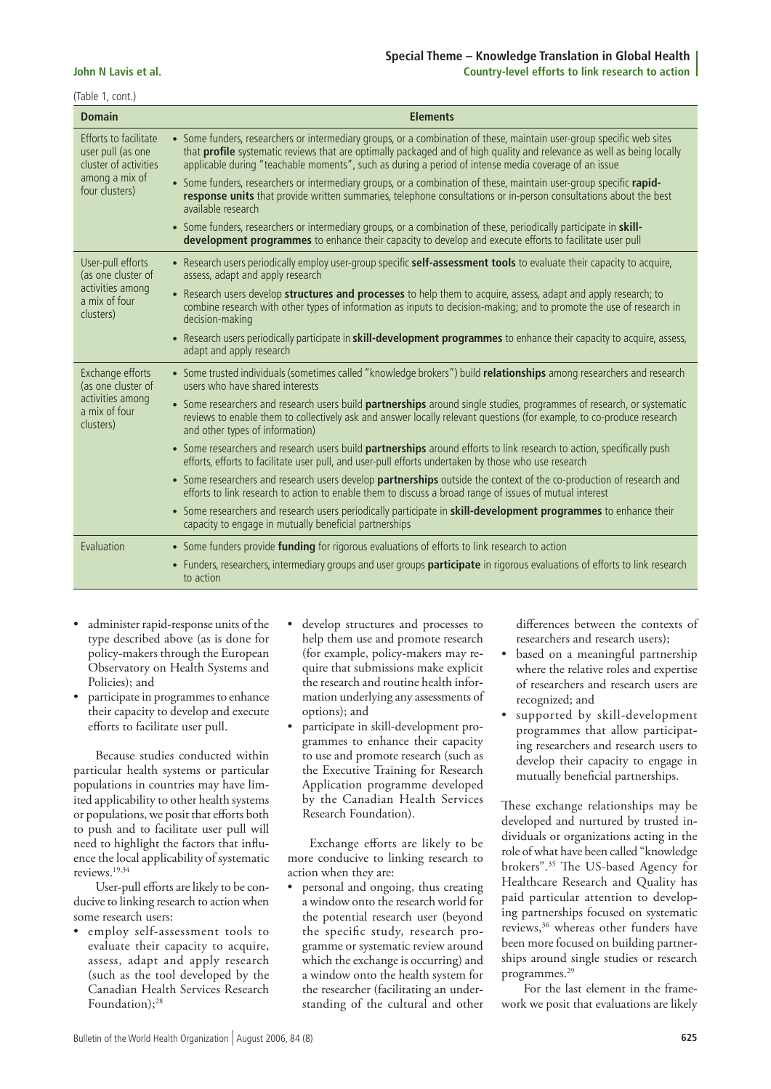## **Special Theme – Knowledge Translation in Global Health John N Lavis et al. Country-level efforts to link research to action**

(Table 1, cont.)

| <b>Domain</b>                                                                                           | <b>Elements</b>                                                                                                                                                                                                                                                                                                                                         |
|---------------------------------------------------------------------------------------------------------|---------------------------------------------------------------------------------------------------------------------------------------------------------------------------------------------------------------------------------------------------------------------------------------------------------------------------------------------------------|
| Efforts to facilitate<br>user pull (as one<br>cluster of activities<br>among a mix of<br>four clusters) | • Some funders, researchers or intermediary groups, or a combination of these, maintain user-group specific web sites<br>that profile systematic reviews that are optimally packaged and of high quality and relevance as well as being locally<br>applicable during "teachable moments", such as during a period of intense media coverage of an issue |
|                                                                                                         | • Some funders, researchers or intermediary groups, or a combination of these, maintain user-group specific rapid-<br>response units that provide written summaries, telephone consultations or in-person consultations about the best<br>available research                                                                                            |
|                                                                                                         | • Some funders, researchers or intermediary groups, or a combination of these, periodically participate in skill-<br>development programmes to enhance their capacity to develop and execute efforts to facilitate user pull                                                                                                                            |
| User-pull efforts<br>(as one cluster of<br>activities among<br>a mix of four<br>clusters)               | • Research users periodically employ user-group specific self-assessment tools to evaluate their capacity to acquire,<br>assess, adapt and apply research                                                                                                                                                                                               |
|                                                                                                         | • Research users develop structures and processes to help them to acquire, assess, adapt and apply research; to<br>combine research with other types of information as inputs to decision-making; and to promote the use of research in<br>decision-making                                                                                              |
|                                                                                                         | • Research users periodically participate in skill-development programmes to enhance their capacity to acquire, assess,<br>adapt and apply research                                                                                                                                                                                                     |
| Exchange efforts<br>(as one cluster of<br>activities among<br>a mix of four<br>clusters)                | • Some trusted individuals (sometimes called "knowledge brokers") build relationships among researchers and research<br>users who have shared interests                                                                                                                                                                                                 |
|                                                                                                         | • Some researchers and research users build partnerships around single studies, programmes of research, or systematic<br>reviews to enable them to collectively ask and answer locally relevant questions (for example, to co-produce research<br>and other types of information)                                                                       |
|                                                                                                         | • Some researchers and research users build <b>partnerships</b> around efforts to link research to action, specifically push<br>efforts, efforts to facilitate user pull, and user-pull efforts undertaken by those who use research                                                                                                                    |
|                                                                                                         | • Some researchers and research users develop <b>partnerships</b> outside the context of the co-production of research and<br>efforts to link research to action to enable them to discuss a broad range of issues of mutual interest                                                                                                                   |
|                                                                                                         | • Some researchers and research users periodically participate in <b>skill-development programmes</b> to enhance their<br>capacity to engage in mutually beneficial partnerships                                                                                                                                                                        |
| Evaluation                                                                                              | • Some funders provide <b>funding</b> for rigorous evaluations of efforts to link research to action                                                                                                                                                                                                                                                    |
|                                                                                                         | • Funders, researchers, intermediary groups and user groups <b>participate</b> in rigorous evaluations of efforts to link research<br>to action                                                                                                                                                                                                         |

- administer rapid-response units of the type described above (as is done for policy-makers through the European Observatory on Health Systems and Policies); and
- participate in programmes to enhance their capacity to develop and execute efforts to facilitate user pull.

Because studies conducted within particular health systems or particular populations in countries may have limited applicability to other health systems or populations, we posit that efforts both to push and to facilitate user pull will need to highlight the factors that influence the local applicability of systematic reviews.19,34

User-pull efforts are likely to be conducive to linking research to action when some research users:

• employ self-assessment tools to evaluate their capacity to acquire, assess, adapt and apply research (such as the tool developed by the Canadian Health Services Research Foundation);<sup>28</sup>

- develop structures and processes to help them use and promote research (for example, policy-makers may require that submissions make explicit the research and routine health information underlying any assessments of options); and
- participate in skill-development programmes to enhance their capacity to use and promote research (such as the Executive Training for Research Application programme developed by the Canadian Health Services Research Foundation).

Exchange efforts are likely to be more conducive to linking research to action when they are:

• personal and ongoing, thus creating a window onto the research world for the potential research user (beyond the specific study, research programme or systematic review around which the exchange is occurring) and a window onto the health system for the researcher (facilitating an understanding of the cultural and other

differences between the contexts of researchers and research users);

- based on a meaningful partnership where the relative roles and expertise of researchers and research users are recognized; and
- supported by skill-development programmes that allow participating researchers and research users to develop their capacity to engage in mutually beneficial partnerships.

These exchange relationships may be developed and nurtured by trusted individuals or organizations acting in the role of what have been called "knowledge brokers".35 The US-based Agency for Healthcare Research and Quality has paid particular attention to developing partnerships focused on systematic reviews,<sup>36</sup> whereas other funders have been more focused on building partnerships around single studies or research programmes.29

For the last element in the framework we posit that evaluations are likely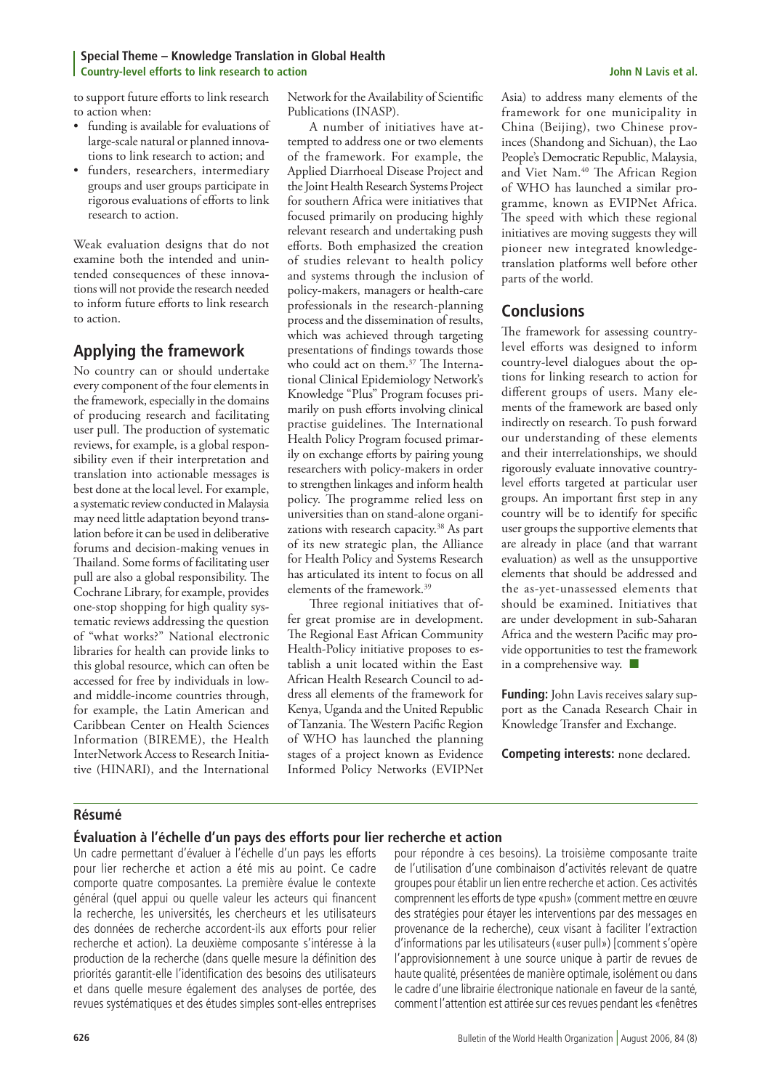#### **Special Theme – Knowledge Translation in Global Health Country-level efforts to link research to action John N Lavis et al.**

to support future efforts to link research to action when:

- funding is available for evaluations of large-scale natural or planned innovations to link research to action; and
- funders, researchers, intermediary groups and user groups participate in rigorous evaluations of efforts to link research to action.

Weak evaluation designs that do not examine both the intended and unintended consequences of these innovations will not provide the research needed to inform future efforts to link research to action.

## **Applying the framework**

No country can or should undertake every component of the four elements in the framework, especially in the domains of producing research and facilitating user pull. The production of systematic reviews, for example, is a global responsibility even if their interpretation and translation into actionable messages is best done at the local level. For example, a systematic review conducted in Malaysia may need little adaptation beyond translation before it can be used in deliberative forums and decision-making venues in Thailand. Some forms of facilitating user pull are also a global responsibility. The Cochrane Library, for example, provides one-stop shopping for high quality systematic reviews addressing the question of "what works?" National electronic libraries for health can provide links to this global resource, which can often be accessed for free by individuals in lowand middle-income countries through, for example, the Latin American and Caribbean Center on Health Sciences Information (BIREME), the Health InterNetwork Access to Research Initiative (HINARI), and the International

Network for the Availability of Scientific Publications (INASP).

A number of initiatives have attempted to address one or two elements of the framework. For example, the Applied Diarrhoeal Disease Project and the Joint Health Research Systems Project for southern Africa were initiatives that focused primarily on producing highly relevant research and undertaking push efforts. Both emphasized the creation of studies relevant to health policy and systems through the inclusion of policy-makers, managers or health-care professionals in the research-planning process and the dissemination of results, which was achieved through targeting presentations of findings towards those who could act on them.<sup>37</sup> The International Clinical Epidemiology Network's Knowledge "Plus" Program focuses primarily on push efforts involving clinical practise guidelines. The International Health Policy Program focused primarily on exchange efforts by pairing young researchers with policy-makers in order to strengthen linkages and inform health policy. The programme relied less on universities than on stand-alone organizations with research capacity.<sup>38</sup> As part of its new strategic plan, the Alliance for Health Policy and Systems Research has articulated its intent to focus on all elements of the framework.<sup>39</sup>

Three regional initiatives that offer great promise are in development. The Regional East African Community Health-Policy initiative proposes to establish a unit located within the East African Health Research Council to address all elements of the framework for Kenya, Uganda and the United Republic of Tanzania. The Western Pacific Region of WHO has launched the planning stages of a project known as Evidence Informed Policy Networks (EVIPNet

Asia) to address many elements of the framework for one municipality in China (Beijing), two Chinese provinces (Shandong and Sichuan), the Lao People's Democratic Republic, Malaysia, and Viet Nam.40 The African Region of WHO has launched a similar programme, known as EVIPNet Africa. The speed with which these regional initiatives are moving suggests they will pioneer new integrated knowledgetranslation platforms well before other parts of the world.

## **Conclusions**

The framework for assessing countrylevel efforts was designed to inform country-level dialogues about the options for linking research to action for different groups of users. Many elements of the framework are based only indirectly on research. To push forward our understanding of these elements and their interrelationships, we should rigorously evaluate innovative countrylevel efforts targeted at particular user groups. An important first step in any country will be to identify for specific user groups the supportive elements that are already in place (and that warrant evaluation) as well as the unsupportive elements that should be addressed and the as-yet-unassessed elements that should be examined. Initiatives that are under development in sub-Saharan Africa and the western Pacific may provide opportunities to test the framework in a comprehensive way.  $\blacksquare$ 

Funding: John Lavis receives salary support as the Canada Research Chair in Knowledge Transfer and Exchange.

**Competing interests:** none declared.

## **Résumé**

## **Évaluation à l'échelle d'un pays des efforts pour lier recherche et action**

Un cadre permettant d'évaluer à l'échelle d'un pays les efforts pour lier recherche et action a été mis au point. Ce cadre comporte quatre composantes. La première évalue le contexte général (quel appui ou quelle valeur les acteurs qui financent la recherche, les universités, les chercheurs et les utilisateurs des données de recherche accordent-ils aux efforts pour relier recherche et action). La deuxième composante s'intéresse à la production de la recherche (dans quelle mesure la définition des priorités garantit-elle l'identification des besoins des utilisateurs et dans quelle mesure également des analyses de portée, des revues systématiques et des études simples sont-elles entreprises

pour répondre à ces besoins). La troisième composante traite de l'utilisation d'une combinaison d'activités relevant de quatre groupes pour établir un lien entre recherche et action. Ces activités comprennent les efforts de type «push» (comment mettre en œuvre des stratégies pour étayer les interventions par des messages en provenance de la recherche), ceux visant à faciliter l'extraction d'informations par les utilisateurs («user pull») [comment s'opère l'approvisionnement à une source unique à partir de revues de haute qualité, présentées de manière optimale, isolément ou dans le cadre d'une librairie électronique nationale en faveur de la santé, comment l'attention est attirée sur ces revues pendant les «fenêtres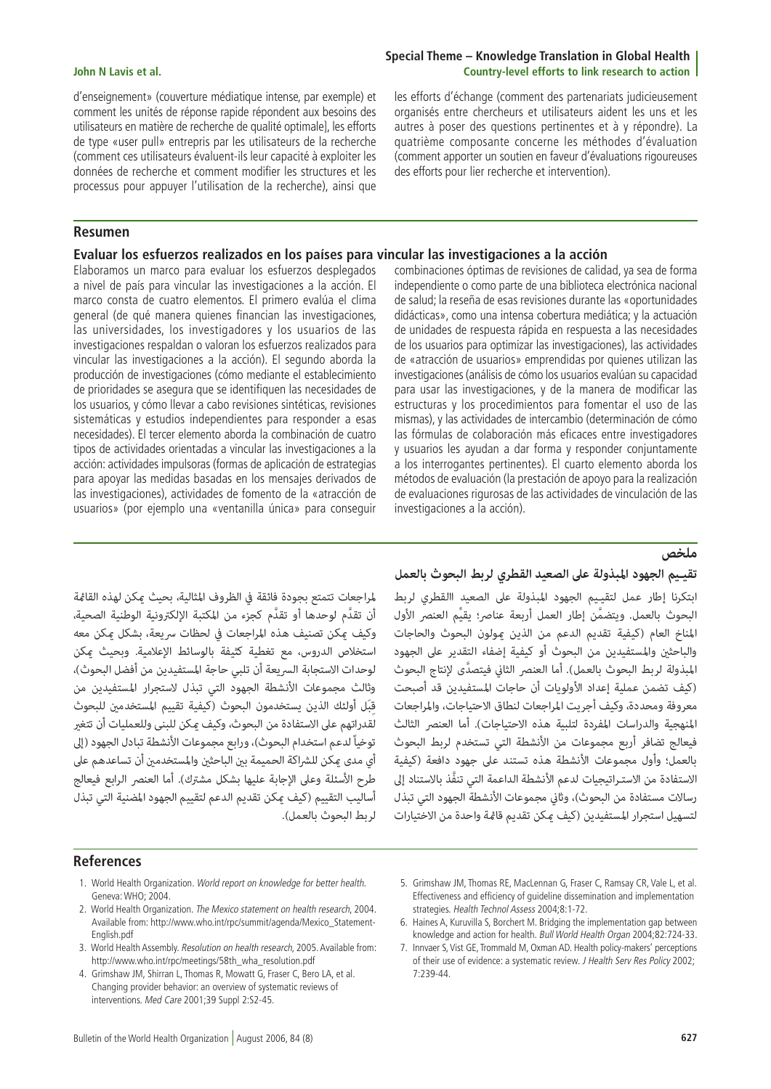d'enseignement» (couverture médiatique intense, par exemple) et comment les unités de réponse rapide répondent aux besoins des utilisateurs en matière de recherche de qualité optimale], les efforts de type «user pull» entrepris par les utilisateurs de la recherche (comment ces utilisateurs évaluent-ils leur capacité à exploiter les données de recherche et comment modifier les structures et les processus pour appuyer l'utilisation de la recherche), ainsi que

## **Resumen**

## **Evaluar los esfuerzos realizados en los países para vincular las investigaciones a la acción**

Elaboramos un marco para evaluar los esfuerzos desplegados a nivel de país para vincular las investigaciones a la acción. El marco consta de cuatro elementos. El primero evalúa el clima general (de qué manera quienes financian las investigaciones, las universidades, los investigadores y los usuarios de las investigaciones respaldan o valoran los esfuerzos realizados para vincular las investigaciones a la acción). El segundo aborda la producción de investigaciones (cómo mediante el establecimiento de prioridades se asegura que se identifiquen las necesidades de los usuarios, y cómo llevar a cabo revisiones sintéticas, revisiones sistemáticas y estudios independientes para responder a esas necesidades). El tercer elemento aborda la combinación de cuatro tipos de actividades orientadas a vincular las investigaciones a la acción: actividades impulsoras (formas de aplicación de estrategias para apoyar las medidas basadas en los mensajes derivados de las investigaciones), actividades de fomento de la «atracción de usuarios» (por ejemplo una «ventanilla única» para conseguir

## **Special Theme – Knowledge Translation in Global Health John N Lavis et al. Country-level efforts to link research to action**

les efforts d'échange (comment des partenariats judicieusement organisés entre chercheurs et utilisateurs aident les uns et les autres à poser des questions pertinentes et à y répondre). La quatrième composante concerne les méthodes d'évaluation (comment apporter un soutien en faveur d'évaluations rigoureuses des efforts pour lier recherche et intervention).

combinaciones óptimas de revisiones de calidad, ya sea de forma independiente o como parte de una biblioteca electrónica nacional de salud; la reseña de esas revisiones durante las «oportunidades didácticas», como una intensa cobertura mediática; y la actuación de unidades de respuesta rápida en respuesta a las necesidades de los usuarios para optimizar las investigaciones), las actividades de «atracción de usuarios» emprendidas por quienes utilizan las investigaciones (análisis de cómo los usuarios evalúan su capacidad para usar las investigaciones, y de la manera de modificar las estructuras y los procedimientos para fomentar el uso de las mismas), y las actividades de intercambio (determinación de cómo las fórmulas de colaboración más eficaces entre investigadores y usuarios les ayudan a dar forma y responder conjuntamente a los interrogantes pertinentes). El cuarto elemento aborda los métodos de evaluación (la prestación de apoyo para la realización de evaluaciones rigurosas de las actividades de vinculación de las investigaciones a la acción).

**ملخص**<br>تقييم الجهود المبذولة على الصعيد القطري لربط البحوث بالعمل<br>ابتكرنا إطار عمل لتقييم الجهود المبذولة على الصعيد االقطري لربط<br>المناخ العام (كيفية تقديم الجهود المبذولة على الصعيد االقطري لربط<br>المناخ العام (كيفية تقديم

لمراجعات تتمتع بجودة فائقة في الظروف المثالية، بحيث عكن لهذه القامُة<br>لمراجعات تتمتع بجودة فائقة في الظروف المثالية، بحيث عكن لهذه القامُة<br>وكيف عكن تصنيف هذه المراجعات في لحظات سريعة، بشكل عكن معه<br>استخلاص الدروس، مع تغطية

#### **References**

- 1. World Health Organization. World report on knowledge for better health. Geneva: WHO; 2004.
- 2. World Health Organization. The Mexico statement on health research, 2004. Available from: http://www.who.int/rpc/summit/agenda/Mexico\_Statement-English.pdf
- 3. World Health Assembly. Resolution on health research, 2005. Available from: http://www.who.int/rpc/meetings/58th\_wha\_resolution.pdf
- 4. Grimshaw JM, Shirran L, Thomas R, Mowatt G, Fraser C, Bero LA, et al. Changing provider behavior: an overview of systematic reviews of interventions. Med Care 2001;39 Suppl 2:S2-45.
- 5. Grimshaw JM, Thomas RE, MacLennan G, Fraser C, Ramsay CR, Vale L, et al. Effectiveness and efficiency of guideline dissemination and implementation strategies. Health Technol Assess 2004;8:1-72.
- 6. Haines A, Kuruvilla S, Borchert M. Bridging the implementation gap between knowledge and action for health. Bull World Health Organ 2004;82:724-33.
- 7. Innvaer S, Vist GE, Trommald M, Oxman AD. Health policy-makers' perceptions of their use of evidence: a systematic review. J Health Serv Res Policy 2002; 7:239-44.